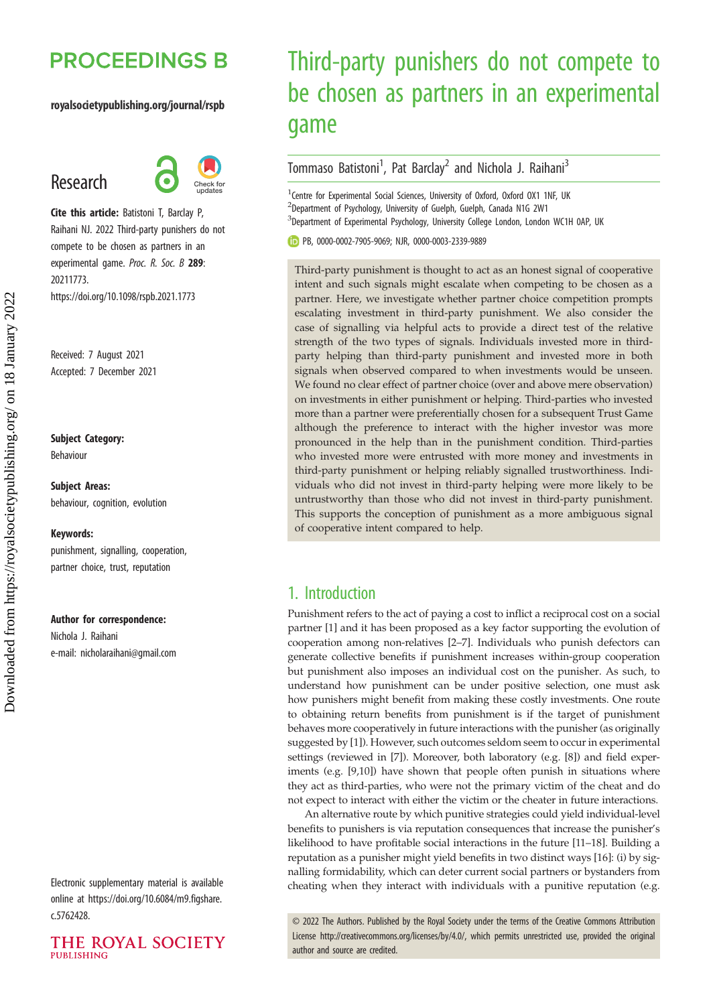# **PROCEEDINGS B**

#### royalsocietypublishing.org/journal/rspb

## Research



Cite this article: Batistoni T, Barclay P, Raihani NJ. 2022 Third-party punishers do not compete to be chosen as partners in an experimental game. Proc. R. Soc. B 289: 20211773. https://doi.org/10.1098/rspb.2021.1773

Received: 7 August 2021 Accepted: 7 December 2021

#### Subject Category:

Behaviour

Subject Areas: behaviour, cognition, evolution

#### Keywords:

punishment, signalling, cooperation, partner choice, trust, reputation

#### Author for correspondence:

Nichola J. Raihani e-mail: [nicholaraihani@gmail.com](mailto:nicholaraihani@gmail.com)

Electronic supplementary material is available online at [https://doi.org/10.6084/m9.figshare.](https://doi.org/10.6084/m9.figshare.c.5762428) [c.5762428.](https://doi.org/10.6084/m9.figshare.c.5762428)



# Third-party punishers do not compete to be chosen as partners in an experimental game

## Tommaso Batistoni<sup>1</sup>, Pat Barclay<sup>2</sup> and Nichola J. Raihani<sup>3</sup>

<sup>1</sup> Centre for Experimental Social Sciences, University of Oxford, Oxford OX1 1NF, UK 2 Department of Psychology, University of Guelph, Guelph, Canada N1G 2W1 <sup>3</sup>Department of Experimental Psychology, University College London, London WC1H 0AP, UK

PB, [0000-0002-7905-9069;](http://orcid.org/0000-0002-7905-9069) NJR, [0000-0003-2339-9889](http://orcid.org/0000-0003-2339-9889)

Third-party punishment is thought to act as an honest signal of cooperative intent and such signals might escalate when competing to be chosen as a partner. Here, we investigate whether partner choice competition prompts escalating investment in third-party punishment. We also consider the case of signalling via helpful acts to provide a direct test of the relative strength of the two types of signals. Individuals invested more in thirdparty helping than third-party punishment and invested more in both signals when observed compared to when investments would be unseen. We found no clear effect of partner choice (over and above mere observation) on investments in either punishment or helping. Third-parties who invested more than a partner were preferentially chosen for a subsequent Trust Game although the preference to interact with the higher investor was more pronounced in the help than in the punishment condition. Third-parties who invested more were entrusted with more money and investments in third-party punishment or helping reliably signalled trustworthiness. Individuals who did not invest in third-party helping were more likely to be untrustworthy than those who did not invest in third-party punishment. This supports the conception of punishment as a more ambiguous signal of cooperative intent compared to help.

## 1. Introduction

Punishment refers to the act of paying a cost to inflict a reciprocal cost on a social partner [\[1\]](#page-7-0) and it has been proposed as a key factor supporting the evolution of cooperation among non-relatives [[2](#page-7-0)–[7](#page-7-0)]. Individuals who punish defectors can generate collective benefits if punishment increases within-group cooperation but punishment also imposes an individual cost on the punisher. As such, to understand how punishment can be under positive selection, one must ask how punishers might benefit from making these costly investments. One route to obtaining return benefits from punishment is if the target of punishment behaves more cooperatively in future interactions with the punisher (as originally suggested by [\[1\]](#page-7-0)). However, such outcomes seldom seem to occur in experimental settings (reviewed in [\[7](#page-7-0)]). Moreover, both laboratory (e.g. [[8](#page-7-0)]) and field experiments (e.g. [\[9,10\]](#page-8-0)) have shown that people often punish in situations where they act as third-parties, who were not the primary victim of the cheat and do not expect to interact with either the victim or the cheater in future interactions.

An alternative route by which punitive strategies could yield individual-level benefits to punishers is via reputation consequences that increase the punisher's likelihood to have profitable social interactions in the future [\[11](#page-8-0)–[18](#page-8-0)]. Building a reputation as a punisher might yield benefits in two distinct ways [\[16](#page-8-0)]: (i) by signalling formidability, which can deter current social partners or bystanders from cheating when they interact with individuals with a punitive reputation (e.g.

© 2022 The Authors. Published by the Royal Society under the terms of the Creative Commons Attribution License<http://creativecommons.org/licenses/by/4.0/>, which permits unrestricted use, provided the original author and source are credited.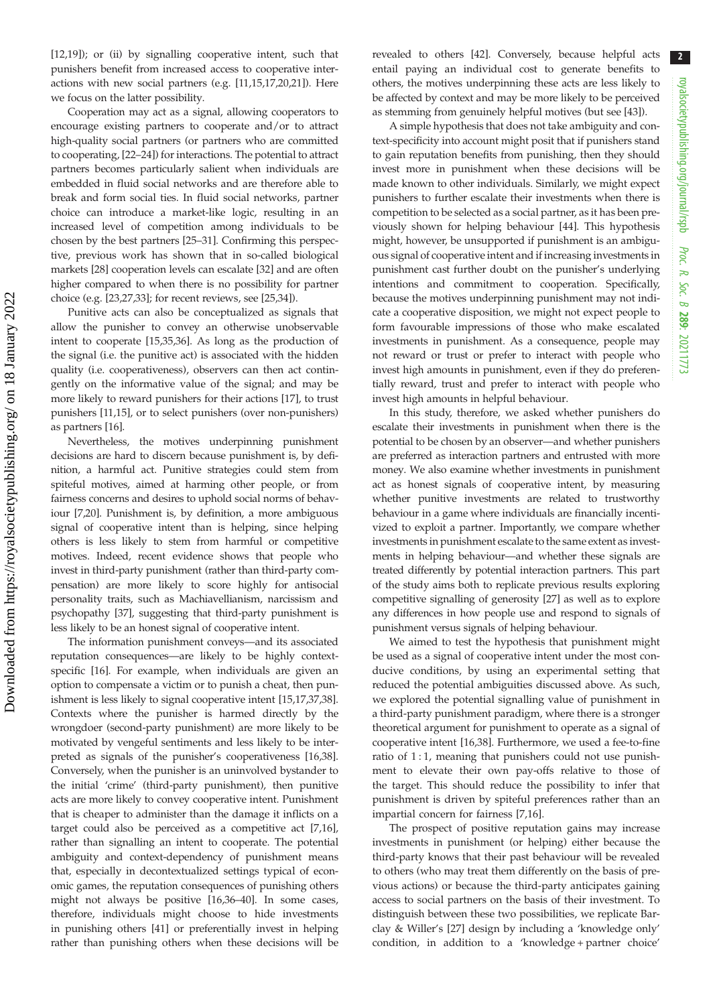[\[12,19](#page-8-0)]); or (ii) by signalling cooperative intent, such that punishers benefit from increased access to cooperative interactions with new social partners (e.g. [\[11](#page-8-0),[15,17,20,21\]](#page-8-0)). Here we focus on the latter possibility.

Cooperation may act as a signal, allowing cooperators to encourage existing partners to cooperate and/or to attract high-quality social partners (or partners who are committed to cooperating, [[22](#page-8-0)–[24](#page-8-0)]) for interactions. The potential to attract partners becomes particularly salient when individuals are embedded in fluid social networks and are therefore able to break and form social ties. In fluid social networks, partner choice can introduce a market-like logic, resulting in an increased level of competition among individuals to be chosen by the best partners [[25](#page-8-0)–[31](#page-8-0)]. Confirming this perspective, previous work has shown that in so-called biological markets [\[28](#page-8-0)] cooperation levels can escalate [\[32](#page-8-0)] and are often higher compared to when there is no possibility for partner choice (e.g. [\[23,27,33](#page-8-0)]; for recent reviews, see [[25,34\]](#page-8-0)).

Punitive acts can also be conceptualized as signals that allow the punisher to convey an otherwise unobservable intent to cooperate [[15,35,36](#page-8-0)]. As long as the production of the signal (i.e. the punitive act) is associated with the hidden quality (i.e. cooperativeness), observers can then act contingently on the informative value of the signal; and may be more likely to reward punishers for their actions [\[17](#page-8-0)], to trust punishers [[11,15](#page-8-0)], or to select punishers (over non-punishers) as partners [[16\]](#page-8-0).

Nevertheless, the motives underpinning punishment decisions are hard to discern because punishment is, by definition, a harmful act. Punitive strategies could stem from spiteful motives, aimed at harming other people, or from fairness concerns and desires to uphold social norms of behaviour [\[7](#page-7-0),[20](#page-8-0)]. Punishment is, by definition, a more ambiguous signal of cooperative intent than is helping, since helping others is less likely to stem from harmful or competitive motives. Indeed, recent evidence shows that people who invest in third-party punishment (rather than third-party compensation) are more likely to score highly for antisocial personality traits, such as Machiavellianism, narcissism and psychopathy [[37](#page-8-0)], suggesting that third-party punishment is less likely to be an honest signal of cooperative intent.

The information punishment conveys—and its associated reputation consequences—are likely to be highly contextspecific [[16\]](#page-8-0). For example, when individuals are given an option to compensate a victim or to punish a cheat, then punishment is less likely to signal cooperative intent [\[15,17,37,38](#page-8-0)]. Contexts where the punisher is harmed directly by the wrongdoer (second-party punishment) are more likely to be motivated by vengeful sentiments and less likely to be interpreted as signals of the punisher's cooperativeness [\[16,38](#page-8-0)]. Conversely, when the punisher is an uninvolved bystander to the initial 'crime' (third-party punishment), then punitive acts are more likely to convey cooperative intent. Punishment that is cheaper to administer than the damage it inflicts on a target could also be perceived as a competitive act [[7](#page-7-0)[,16](#page-8-0)], rather than signalling an intent to cooperate. The potential ambiguity and context-dependency of punishment means that, especially in decontextualized settings typical of economic games, the reputation consequences of punishing others might not always be positive [[16,36](#page-8-0)–[40](#page-8-0)]. In some cases, therefore, individuals might choose to hide investments in punishing others [[41\]](#page-8-0) or preferentially invest in helping rather than punishing others when these decisions will be revealed to others [\[42](#page-8-0)]. Conversely, because helpful acts entail paying an individual cost to generate benefits to others, the motives underpinning these acts are less likely to be affected by context and may be more likely to be perceived as stemming from genuinely helpful motives (but see [\[43](#page-8-0)]).

A simple hypothesis that does not take ambiguity and context-specificity into account might posit that if punishers stand to gain reputation benefits from punishing, then they should invest more in punishment when these decisions will be made known to other individuals. Similarly, we might expect punishers to further escalate their investments when there is competition to be selected as a social partner, as it has been previously shown for helping behaviour [\[44](#page-8-0)]. This hypothesis might, however, be unsupported if punishment is an ambiguous signal of cooperative intent and if increasing investments in punishment cast further doubt on the punisher's underlying intentions and commitment to cooperation. Specifically, because the motives underpinning punishment may not indicate a cooperative disposition, we might not expect people to form favourable impressions of those who make escalated investments in punishment. As a consequence, people may not reward or trust or prefer to interact with people who invest high amounts in punishment, even if they do preferentially reward, trust and prefer to interact with people who invest high amounts in helpful behaviour.

In this study, therefore, we asked whether punishers do escalate their investments in punishment when there is the potential to be chosen by an observer—and whether punishers are preferred as interaction partners and entrusted with more money. We also examine whether investments in punishment act as honest signals of cooperative intent, by measuring whether punitive investments are related to trustworthy behaviour in a game where individuals are financially incentivized to exploit a partner. Importantly, we compare whether investments in punishment escalate to the same extent as investments in helping behaviour—and whether these signals are treated differently by potential interaction partners. This part of the study aims both to replicate previous results exploring competitive signalling of generosity [[27](#page-8-0)] as well as to explore any differences in how people use and respond to signals of punishment versus signals of helping behaviour.

We aimed to test the hypothesis that punishment might be used as a signal of cooperative intent under the most conducive conditions, by using an experimental setting that reduced the potential ambiguities discussed above. As such, we explored the potential signalling value of punishment in a third-party punishment paradigm, where there is a stronger theoretical argument for punishment to operate as a signal of cooperative intent [[16](#page-8-0),[38\]](#page-8-0). Furthermore, we used a fee-to-fine ratio of 1:1, meaning that punishers could not use punishment to elevate their own pay-offs relative to those of the target. This should reduce the possibility to infer that punishment is driven by spiteful preferences rather than an impartial concern for fairness [\[7,](#page-7-0)[16\]](#page-8-0).

The prospect of positive reputation gains may increase investments in punishment (or helping) either because the third-party knows that their past behaviour will be revealed to others (who may treat them differently on the basis of previous actions) or because the third-party anticipates gaining access to social partners on the basis of their investment. To distinguish between these two possibilities, we replicate Barclay & Willer's [\[27](#page-8-0)] design by including a 'knowledge only' condition, in addition to a 'knowledge + partner choice'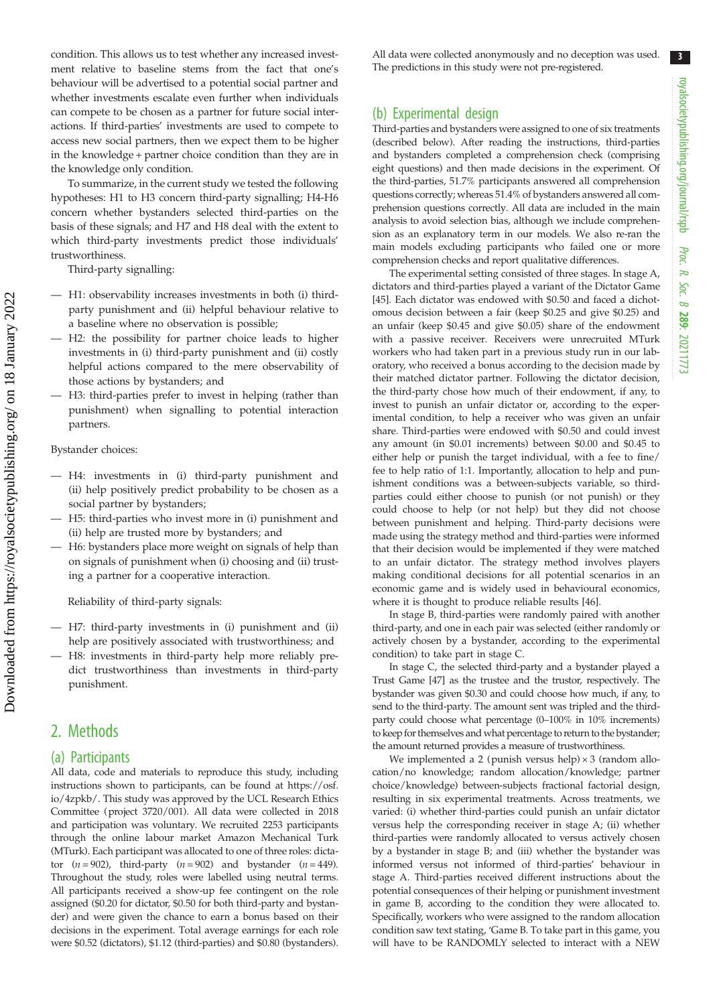condition. This allows us to test whether any increased investment relative to baseline stems from the fact that one's behaviour will be advertised to a potential social partner and whether investments escalate even further when individuals can compete to be chosen as a partner for future social interactions. If third-parties' investments are used to compete to access new social partners, then we expect them to be higher in the knowledge + partner choice condition than they are in the knowledge only condition.

To summarize, in the current study we tested the following hypotheses: H1 to H3 concern third-party signalling; H4-H6 concern whether bystanders selected third-parties on the basis of these signals; and H7 and H8 deal with the extent to which third-party investments predict those individuals' trustworthiness.

Third-party signalling:

- H1: observability increases investments in both (i) thirdparty punishment and (ii) helpful behaviour relative to a baseline where no observation is possible;
- H2: the possibility for partner choice leads to higher investments in (i) third-party punishment and (ii) costly helpful actions compared to the mere observability of those actions by bystanders; and
- H3: third-parties prefer to invest in helping (rather than punishment) when signalling to potential interaction partners.

Bystander choices:

- H4: investments in (i) third-party punishment and (ii) help positively predict probability to be chosen as a social partner by bystanders;
- H5: third-parties who invest more in (i) punishment and (ii) help are trusted more by bystanders; and
- H6: bystanders place more weight on signals of help than on signals of punishment when (i) choosing and (ii) trusting a partner for a cooperative interaction.

Reliability of third-party signals:

- H7: third-party investments in (i) punishment and (ii) help are positively associated with trustworthiness; and
- H8: investments in third-party help more reliably predict trustworthiness than investments in third-party punishment.

## 2. Methods

#### (a) Participants

All data, code and materials to reproduce this study, including instructions shown to participants, can be found at [https://osf.](https://osf.io/4zpkb/) [io/4zpkb/](https://osf.io/4zpkb/). This study was approved by the UCL Research Ethics Committee (project 3720/001). All data were collected in 2018 and participation was voluntary. We recruited 2253 participants through the online labour market Amazon Mechanical Turk (MTurk). Each participant was allocated to one of three roles: dictator  $(n = 902)$ , third-party  $(n = 902)$  and bystander  $(n = 449)$ . Throughout the study, roles were labelled using neutral terms. All participants received a show-up fee contingent on the role assigned (\$0.20 for dictator, \$0.50 for both third-party and bystander) and were given the chance to earn a bonus based on their decisions in the experiment. Total average earnings for each role were \$0.52 (dictators), \$1.12 (third-parties) and \$0.80 (bystanders). All data were collected anonymously and no deception was used. The predictions in this study were not pre-registered.

### (b) Experimental design

Third-parties and bystanders were assigned to one of six treatments (described below). After reading the instructions, third-parties and bystanders completed a comprehension check (comprising eight questions) and then made decisions in the experiment. Of the third-parties, 51.7% participants answered all comprehension questions correctly; whereas 51.4% of bystanders answered all comprehension questions correctly. All data are included in the main analysis to avoid selection bias, although we include comprehension as an explanatory term in our models. We also re-ran the main models excluding participants who failed one or more comprehension checks and report qualitative differences.

The experimental setting consisted of three stages. In stage A, dictators and third-parties played a variant of the Dictator Game [[45](#page-8-0)]. Each dictator was endowed with \$0.50 and faced a dichotomous decision between a fair (keep \$0.25 and give \$0.25) and an unfair (keep \$0.45 and give \$0.05) share of the endowment with a passive receiver. Receivers were unrecruited MTurk workers who had taken part in a previous study run in our laboratory, who received a bonus according to the decision made by their matched dictator partner. Following the dictator decision, the third-party chose how much of their endowment, if any, to invest to punish an unfair dictator or, according to the experimental condition, to help a receiver who was given an unfair share. Third-parties were endowed with \$0.50 and could invest any amount (in \$0.01 increments) between \$0.00 and \$0.45 to either help or punish the target individual, with a fee to fine/ fee to help ratio of 1:1. Importantly, allocation to help and punishment conditions was a between-subjects variable, so thirdparties could either choose to punish (or not punish) or they could choose to help (or not help) but they did not choose between punishment and helping. Third-party decisions were made using the strategy method and third-parties were informed that their decision would be implemented if they were matched to an unfair dictator. The strategy method involves players making conditional decisions for all potential scenarios in an economic game and is widely used in behavioural economics, where it is thought to produce reliable results [\[46\]](#page-8-0).

In stage B, third-parties were randomly paired with another third-party, and one in each pair was selected (either randomly or actively chosen by a bystander, according to the experimental condition) to take part in stage C.

In stage C, the selected third-party and a bystander played a Trust Game [\[47](#page-8-0)] as the trustee and the trustor, respectively. The bystander was given \$0.30 and could choose how much, if any, to send to the third-party. The amount sent was tripled and the thirdparty could choose what percentage (0–100% in 10% increments) to keep for themselves and what percentage to return to the bystander; the amount returned provides a measure of trustworthiness.

We implemented a 2 (punish versus help)  $\times$  3 (random allocation/no knowledge; random allocation/knowledge; partner choice/knowledge) between-subjects fractional factorial design, resulting in six experimental treatments. Across treatments, we varied: (i) whether third-parties could punish an unfair dictator versus help the corresponding receiver in stage A; (ii) whether third-parties were randomly allocated to versus actively chosen by a bystander in stage B; and (iii) whether the bystander was informed versus not informed of third-parties' behaviour in stage A. Third-parties received different instructions about the potential consequences of their helping or punishment investment in game B, according to the condition they were allocated to. Specifically, workers who were assigned to the random allocation condition saw text stating, 'Game B. To take part in this game, you will have to be RANDOMLY selected to interact with a NEW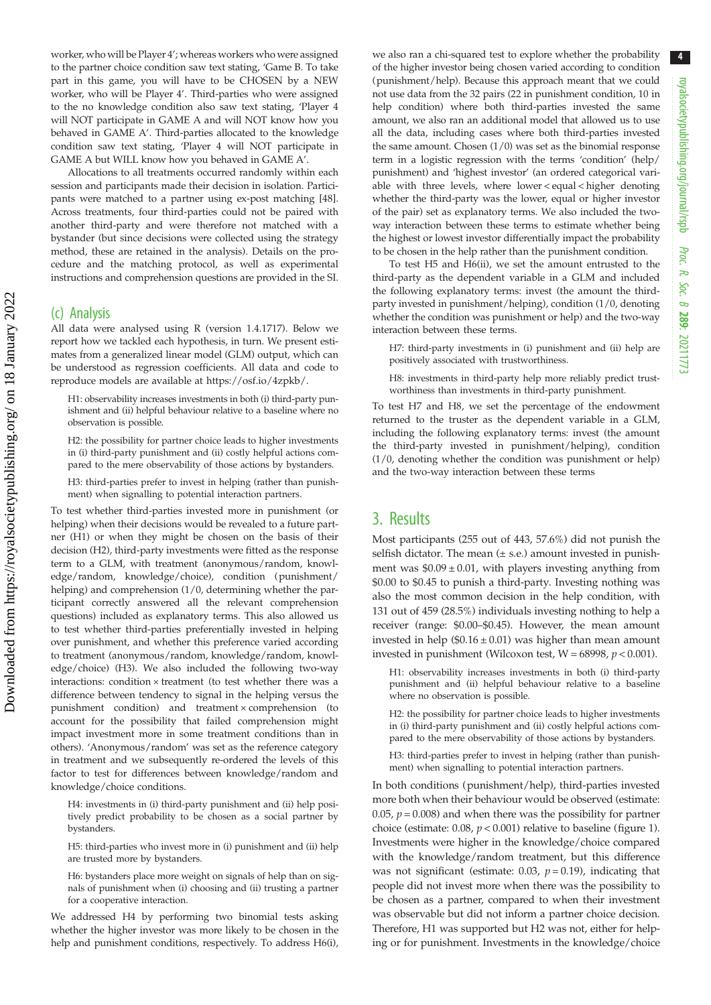worker, who will be Player 4'; whereas workers who were assigned to the partner choice condition saw text stating, 'Game B. To take part in this game, you will have to be CHOSEN by a NEW worker, who will be Player 4'. Third-parties who were assigned to the no knowledge condition also saw text stating, 'Player 4 will NOT participate in GAME A and will NOT know how you behaved in GAME A'. Third-parties allocated to the knowledge condition saw text stating, 'Player 4 will NOT participate in GAME A but WILL know how you behaved in GAME A'.

Allocations to all treatments occurred randomly within each session and participants made their decision in isolation. Participants were matched to a partner using ex-post matching [\[48\]](#page-8-0). Across treatments, four third-parties could not be paired with another third-party and were therefore not matched with a bystander (but since decisions were collected using the strategy method, these are retained in the analysis). Details on the procedure and the matching protocol, as well as experimental instructions and comprehension questions are provided in the SI.

#### (c) Analysis

All data were analysed using R (version 1.4.1717). Below we report how we tackled each hypothesis, in turn. We present estimates from a generalized linear model (GLM) output, which can be understood as regression coefficients. All data and code to reproduce models are available at<https://osf.io/4zpkb/>.

H1: observability increases investments in both (i) third-party punishment and (ii) helpful behaviour relative to a baseline where no observation is possible.

H2: the possibility for partner choice leads to higher investments in (i) third-party punishment and (ii) costly helpful actions compared to the mere observability of those actions by bystanders.

H3: third-parties prefer to invest in helping (rather than punishment) when signalling to potential interaction partners.

To test whether third-parties invested more in punishment (or helping) when their decisions would be revealed to a future partner (H1) or when they might be chosen on the basis of their decision (H2), third-party investments were fitted as the response term to a GLM, with treatment (anonymous/random, knowledge/random, knowledge/choice), condition (punishment/ helping) and comprehension (1/0, determining whether the participant correctly answered all the relevant comprehension questions) included as explanatory terms. This also allowed us to test whether third-parties preferentially invested in helping over punishment, and whether this preference varied according to treatment (anonymous/random, knowledge/random, knowledge/choice) (H3). We also included the following two-way interactions: condition × treatment (to test whether there was a difference between tendency to signal in the helping versus the punishment condition) and treatment × comprehension (to account for the possibility that failed comprehension might impact investment more in some treatment conditions than in others). 'Anonymous/random' was set as the reference category in treatment and we subsequently re-ordered the levels of this factor to test for differences between knowledge/random and knowledge/choice conditions.

H4: investments in (i) third-party punishment and (ii) help positively predict probability to be chosen as a social partner by bystanders.

H5: third-parties who invest more in (i) punishment and (ii) help are trusted more by bystanders.

H6: bystanders place more weight on signals of help than on signals of punishment when (i) choosing and (ii) trusting a partner for a cooperative interaction.

We addressed H4 by performing two binomial tests asking whether the higher investor was more likely to be chosen in the help and punishment conditions, respectively. To address H6(i),

we also ran a chi-squared test to explore whether the probability of the higher investor being chosen varied according to condition (punishment/help). Because this approach meant that we could not use data from the 32 pairs (22 in punishment condition, 10 in help condition) where both third-parties invested the same amount, we also ran an additional model that allowed us to use all the data, including cases where both third-parties invested the same amount. Chosen (1/0) was set as the binomial response term in a logistic regression with the terms 'condition' (help/ punishment) and 'highest investor' (an ordered categorical variable with three levels, where lower < equal < higher denoting whether the third-party was the lower, equal or higher investor of the pair) set as explanatory terms. We also included the twoway interaction between these terms to estimate whether being the highest or lowest investor differentially impact the probability to be chosen in the help rather than the punishment condition.

To test H5 and H6(ii), we set the amount entrusted to the third-party as the dependent variable in a GLM and included the following explanatory terms: invest (the amount the thirdparty invested in punishment/helping), condition (1/0, denoting whether the condition was punishment or help) and the two-way interaction between these terms.

H7: third-party investments in (i) punishment and (ii) help are positively associated with trustworthiness.

H8: investments in third-party help more reliably predict trustworthiness than investments in third-party punishment.

To test H7 and H8, we set the percentage of the endowment returned to the truster as the dependent variable in a GLM, including the following explanatory terms: invest (the amount the third-party invested in punishment/helping), condition (1/0, denoting whether the condition was punishment or help) and the two-way interaction between these terms

## 3. Results

Most participants (255 out of 443, 57.6%) did not punish the selfish dictator. The mean  $(\pm s.e.)$  amount invested in punishment was  $$0.09 \pm 0.01$ , with players investing anything from \$0.00 to \$0.45 to punish a third-party. Investing nothing was also the most common decision in the help condition, with 131 out of 459 (28.5%) individuals investing nothing to help a receiver (range: \$0.00–\$0.45). However, the mean amount invested in help ( $$0.16 \pm 0.01$ ) was higher than mean amount invested in punishment (Wilcoxon test,  $W = 68998$ ,  $p < 0.001$ ).

H1: observability increases investments in both (i) third-party punishment and (ii) helpful behaviour relative to a baseline where no observation is possible.

H2: the possibility for partner choice leads to higher investments in (i) third-party punishment and (ii) costly helpful actions compared to the mere observability of those actions by bystanders.

H3: third-parties prefer to invest in helping (rather than punishment) when signalling to potential interaction partners.

In both conditions (punishment/help), third-parties invested more both when their behaviour would be observed (estimate: 0.05,  $p = 0.008$ ) and when there was the possibility for partner choice (estimate: 0.08,  $p < 0.001$ ) relative to baseline ([figure 1\)](#page-4-0). Investments were higher in the knowledge/choice compared with the knowledge/random treatment, but this difference was not significant (estimate: 0.03,  $p = 0.19$ ), indicating that people did not invest more when there was the possibility to be chosen as a partner, compared to when their investment was observable but did not inform a partner choice decision. Therefore, H1 was supported but H2 was not, either for helping or for punishment. Investments in the knowledge/choice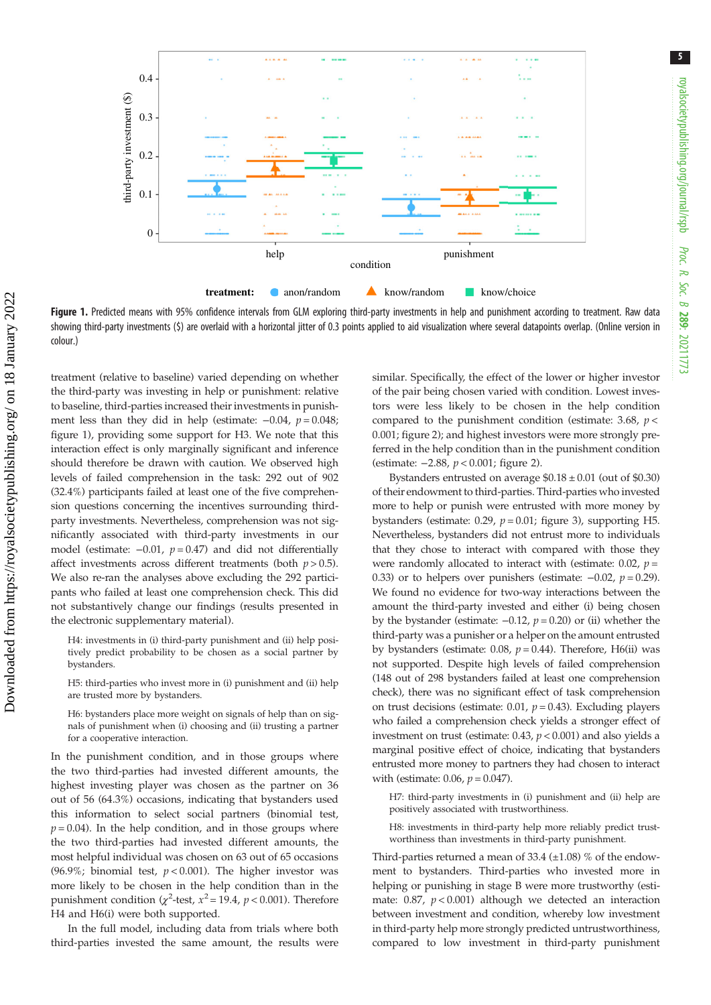<span id="page-4-0"></span>

Figure 1. Predicted means with 95% confidence intervals from GLM exploring third-party investments in help and punishment according to treatment. Raw data showing third-party investments (\$) are overlaid with a horizontal jitter of 0.3 points applied to aid visualization where several datapoints overlap. (Online version in colour.)

treatment (relative to baseline) varied depending on whether the third-party was investing in help or punishment: relative to baseline, third-parties increased their investments in punishment less than they did in help (estimate:  $-0.04$ ,  $p = 0.048$ ; figure 1), providing some support for H3. We note that this interaction effect is only marginally significant and inference should therefore be drawn with caution. We observed high levels of failed comprehension in the task: 292 out of 902 (32.4%) participants failed at least one of the five comprehension questions concerning the incentives surrounding thirdparty investments. Nevertheless, comprehension was not significantly associated with third-party investments in our model (estimate:  $-0.01$ ,  $p = 0.47$ ) and did not differentially affect investments across different treatments (both  $p > 0.5$ ). We also re-ran the analyses above excluding the 292 participants who failed at least one comprehension check. This did not substantively change our findings (results presented in the electronic supplementary material).

H4: investments in (i) third-party punishment and (ii) help positively predict probability to be chosen as a social partner by bystanders.

H5: third-parties who invest more in (i) punishment and (ii) help are trusted more by bystanders.

H6: bystanders place more weight on signals of help than on signals of punishment when (i) choosing and (ii) trusting a partner for a cooperative interaction.

In the punishment condition, and in those groups where the two third-parties had invested different amounts, the highest investing player was chosen as the partner on 36 out of 56 (64.3%) occasions, indicating that bystanders used this information to select social partners (binomial test,  $p = 0.04$ ). In the help condition, and in those groups where the two third-parties had invested different amounts, the most helpful individual was chosen on 63 out of 65 occasions (96.9%; binomial test,  $p < 0.001$ ). The higher investor was more likely to be chosen in the help condition than in the punishment condition ( $\chi^2$ -test,  $x^2$  = 19.4,  $p$  < 0.001). Therefore H4 and H6(i) were both supported.

In the full model, including data from trials where both third-parties invested the same amount, the results were similar. Specifically, the effect of the lower or higher investor of the pair being chosen varied with condition. Lowest investors were less likely to be chosen in the help condition compared to the punishment condition (estimate: 3.68,  $p$  < 0.001; [figure 2](#page-5-0)); and highest investors were more strongly preferred in the help condition than in the punishment condition (estimate: −2.88, p < 0.001; [figure 2](#page-5-0)).

Bystanders entrusted on average  $$0.18 \pm 0.01$  (out of \$0.30) of their endowment to third-parties. Third-parties who invested more to help or punish were entrusted with more money by bystanders (estimate: 0.29,  $p = 0.01$ ; [figure 3\)](#page-5-0), supporting H5. Nevertheless, bystanders did not entrust more to individuals that they chose to interact with compared with those they were randomly allocated to interact with (estimate: 0.02,  $p =$ 0.33) or to helpers over punishers (estimate:  $-0.02$ ,  $p = 0.29$ ). We found no evidence for two-way interactions between the amount the third-party invested and either (i) being chosen by the bystander (estimate:  $-0.12$ ,  $p = 0.20$ ) or (ii) whether the third-party was a punisher or a helper on the amount entrusted by bystanders (estimate: 0.08,  $p = 0.44$ ). Therefore, H6(ii) was not supported. Despite high levels of failed comprehension (148 out of 298 bystanders failed at least one comprehension check), there was no significant effect of task comprehension on trust decisions (estimate: 0.01,  $p = 0.43$ ). Excluding players who failed a comprehension check yields a stronger effect of investment on trust (estimate:  $0.43$ ,  $p < 0.001$ ) and also yields a marginal positive effect of choice, indicating that bystanders entrusted more money to partners they had chosen to interact with (estimate: 0.06,  $p = 0.047$ ).

H7: third-party investments in (i) punishment and (ii) help are positively associated with trustworthiness.

H8: investments in third-party help more reliably predict trustworthiness than investments in third-party punishment.

Third-parties returned a mean of 33.4  $(\pm 1.08)$  % of the endowment to bystanders. Third-parties who invested more in helping or punishing in stage B were more trustworthy (estimate:  $0.87$ ,  $p < 0.001$ ) although we detected an interaction between investment and condition, whereby low investment in third-party help more strongly predicted untrustworthiness, compared to low investment in third-party punishment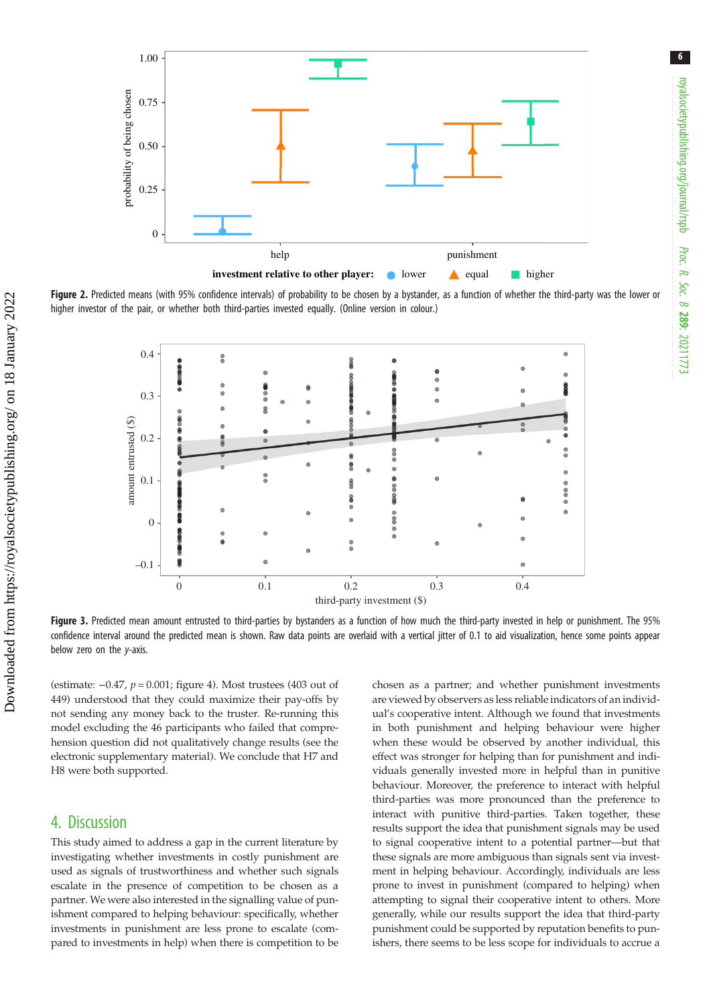<span id="page-5-0"></span>

Figure 2. Predicted means (with 95% confidence intervals) of probability to be chosen by a bystander, as a function of whether the third-party was the lower or higher investor of the pair, or whether both third-parties invested equally. (Online version in colour.)



Figure 3. Predicted mean amount entrusted to third-parties by bystanders as a function of how much the third-party invested in help or punishment. The 95% confidence interval around the predicted mean is shown. Raw data points are overlaid with a vertical jitter of 0.1 to aid visualization, hence some points appear below zero on the y-axis.

(estimate:  $-0.47$ ,  $p = 0.001$ ; [figure 4\)](#page-6-0). Most trustees (403 out of 449) understood that they could maximize their pay-offs by not sending any money back to the truster. Re-running this model excluding the 46 participants who failed that comprehension question did not qualitatively change results (see the electronic supplementary material). We conclude that H7 and H8 were both supported.

### 4. Discussion

This study aimed to address a gap in the current literature by investigating whether investments in costly punishment are used as signals of trustworthiness and whether such signals escalate in the presence of competition to be chosen as a partner. We were also interested in the signalling value of punishment compared to helping behaviour: specifically, whether investments in punishment are less prone to escalate (compared to investments in help) when there is competition to be chosen as a partner; and whether punishment investments are viewed by observers as less reliable indicators of an individual's cooperative intent. Although we found that investments in both punishment and helping behaviour were higher when these would be observed by another individual, this effect was stronger for helping than for punishment and individuals generally invested more in helpful than in punitive behaviour. Moreover, the preference to interact with helpful third-parties was more pronounced than the preference to interact with punitive third-parties. Taken together, these results support the idea that punishment signals may be used to signal cooperative intent to a potential partner—but that these signals are more ambiguous than signals sent via investment in helping behaviour. Accordingly, individuals are less prone to invest in punishment (compared to helping) when attempting to signal their cooperative intent to others. More generally, while our results support the idea that third-party punishment could be supported by reputation benefits to punishers, there seems to be less scope for individuals to accrue a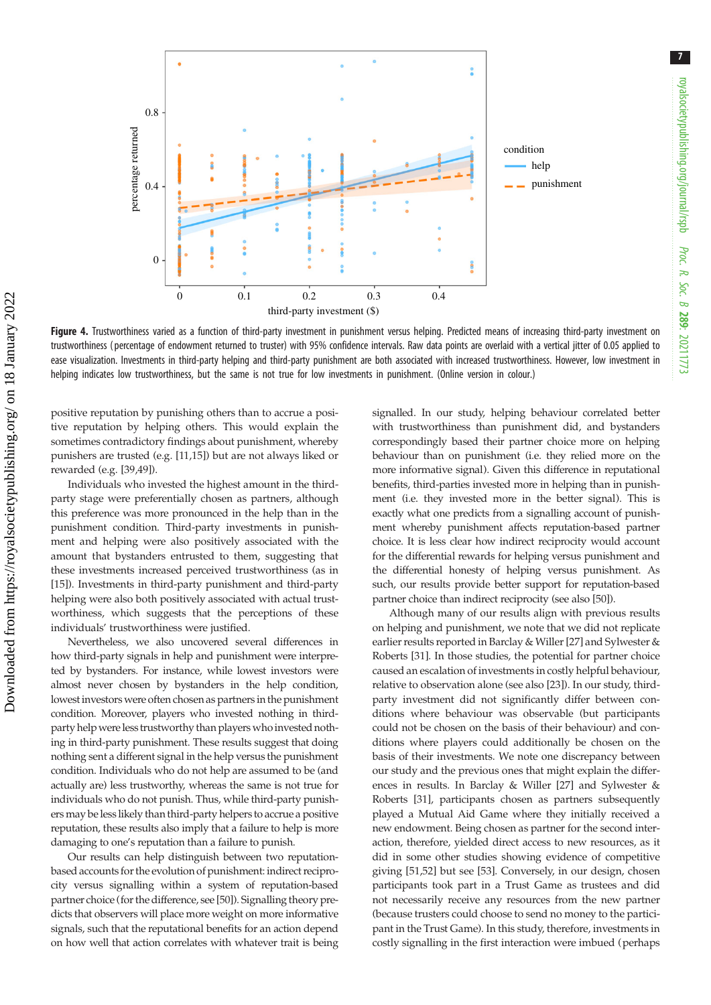<span id="page-6-0"></span>

Figure 4. Trustworthiness varied as a function of third-party investment in punishment versus helping. Predicted means of increasing third-party investment on trustworthiness ( percentage of endowment returned to truster) with 95% confidence intervals. Raw data points are overlaid with a vertical jitter of 0.05 applied to ease visualization. Investments in third-party helping and third-party punishment are both associated with increased trustworthiness. However, low investment in helping indicates low trustworthiness, but the same is not true for low investments in punishment. (Online version in colour.)

positive reputation by punishing others than to accrue a positive reputation by helping others. This would explain the sometimes contradictory findings about punishment, whereby punishers are trusted (e.g. [\[11](#page-8-0),[15\]](#page-8-0)) but are not always liked or rewarded (e.g. [\[39,49](#page-8-0)]).

Individuals who invested the highest amount in the thirdparty stage were preferentially chosen as partners, although this preference was more pronounced in the help than in the punishment condition. Third-party investments in punishment and helping were also positively associated with the amount that bystanders entrusted to them, suggesting that these investments increased perceived trustworthiness (as in [\[15](#page-8-0)]). Investments in third-party punishment and third-party helping were also both positively associated with actual trustworthiness, which suggests that the perceptions of these individuals' trustworthiness were justified.

Nevertheless, we also uncovered several differences in how third-party signals in help and punishment were interpreted by bystanders. For instance, while lowest investors were almost never chosen by bystanders in the help condition, lowest investors were often chosen as partners in the punishment condition. Moreover, players who invested nothing in thirdparty help were less trustworthy than players who invested nothing in third-party punishment. These results suggest that doing nothing sent a different signal in the help versus the punishment condition. Individuals who do not help are assumed to be (and actually are) less trustworthy, whereas the same is not true for individuals who do not punish. Thus, while third-party punishers may be less likely than third-party helpers to accrue a positive reputation, these results also imply that a failure to help is more damaging to one's reputation than a failure to punish.

Our results can help distinguish between two reputationbased accounts for the evolution of punishment: indirect reciprocity versus signalling within a system of reputation-based partner choice (for the difference, see [\[50\]](#page-8-0)). Signalling theory predicts that observers will place more weight on more informative signals, such that the reputational benefits for an action depend on how well that action correlates with whatever trait is being signalled. In our study, helping behaviour correlated better with trustworthiness than punishment did, and bystanders correspondingly based their partner choice more on helping behaviour than on punishment (i.e. they relied more on the more informative signal). Given this difference in reputational benefits, third-parties invested more in helping than in punishment (i.e. they invested more in the better signal). This is exactly what one predicts from a signalling account of punishment whereby punishment affects reputation-based partner choice. It is less clear how indirect reciprocity would account for the differential rewards for helping versus punishment and the differential honesty of helping versus punishment. As such, our results provide better support for reputation-based partner choice than indirect reciprocity (see also [\[50\]](#page-8-0)).

Although many of our results align with previous results on helping and punishment, we note that we did not replicate earlier results reported in Barclay & Willer [[27\]](#page-8-0) and Sylwester & Roberts [\[31](#page-8-0)]. In those studies, the potential for partner choice caused an escalation of investments in costly helpful behaviour, relative to observation alone (see also [[23\]](#page-8-0)). In our study, thirdparty investment did not significantly differ between conditions where behaviour was observable (but participants could not be chosen on the basis of their behaviour) and conditions where players could additionally be chosen on the basis of their investments. We note one discrepancy between our study and the previous ones that might explain the differences in results. In Barclay & Willer [[27\]](#page-8-0) and Sylwester & Roberts [\[31](#page-8-0)], participants chosen as partners subsequently played a Mutual Aid Game where they initially received a new endowment. Being chosen as partner for the second interaction, therefore, yielded direct access to new resources, as it did in some other studies showing evidence of competitive giving [[51,52\]](#page-8-0) but see [[53\]](#page-8-0). Conversely, in our design, chosen participants took part in a Trust Game as trustees and did not necessarily receive any resources from the new partner (because trusters could choose to send no money to the participant in the Trust Game). In this study, therefore, investments in costly signalling in the first interaction were imbued (perhaps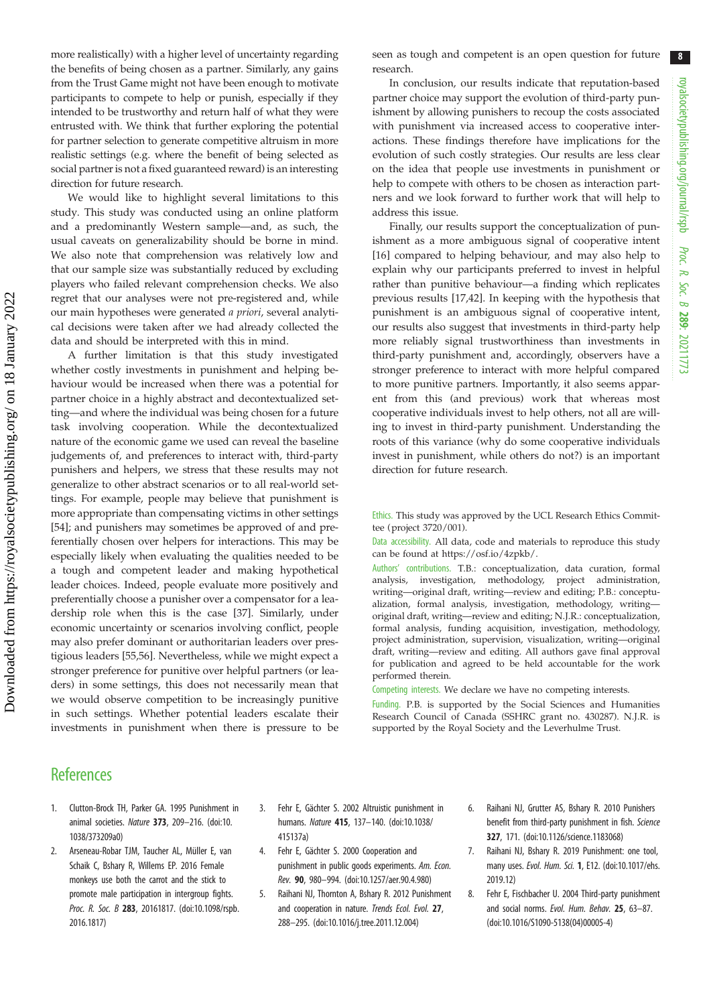<span id="page-7-0"></span>more realistically) with a higher level of uncertainty regarding the benefits of being chosen as a partner. Similarly, any gains from the Trust Game might not have been enough to motivate participants to compete to help or punish, especially if they intended to be trustworthy and return half of what they were entrusted with. We think that further exploring the potential for partner selection to generate competitive altruism in more realistic settings (e.g. where the benefit of being selected as social partner is not a fixed guaranteed reward) is an interesting direction for future research.

We would like to highlight several limitations to this study. This study was conducted using an online platform and a predominantly Western sample—and, as such, the usual caveats on generalizability should be borne in mind. We also note that comprehension was relatively low and that our sample size was substantially reduced by excluding players who failed relevant comprehension checks. We also regret that our analyses were not pre-registered and, while our main hypotheses were generated a priori, several analytical decisions were taken after we had already collected the data and should be interpreted with this in mind.

A further limitation is that this study investigated whether costly investments in punishment and helping behaviour would be increased when there was a potential for partner choice in a highly abstract and decontextualized setting—and where the individual was being chosen for a future task involving cooperation. While the decontextualized nature of the economic game we used can reveal the baseline judgements of, and preferences to interact with, third-party punishers and helpers, we stress that these results may not generalize to other abstract scenarios or to all real-world settings. For example, people may believe that punishment is more appropriate than compensating victims in other settings [\[54](#page-8-0)]; and punishers may sometimes be approved of and preferentially chosen over helpers for interactions. This may be especially likely when evaluating the qualities needed to be a tough and competent leader and making hypothetical leader choices. Indeed, people evaluate more positively and preferentially choose a punisher over a compensator for a leadership role when this is the case [\[37](#page-8-0)]. Similarly, under economic uncertainty or scenarios involving conflict, people may also prefer dominant or authoritarian leaders over prestigious leaders [\[55,56](#page-8-0)]. Nevertheless, while we might expect a stronger preference for punitive over helpful partners (or leaders) in some settings, this does not necessarily mean that we would observe competition to be increasingly punitive in such settings. Whether potential leaders escalate their investments in punishment when there is pressure to be seen as tough and competent is an open question for future research.

In conclusion, our results indicate that reputation-based partner choice may support the evolution of third-party punishment by allowing punishers to recoup the costs associated with punishment via increased access to cooperative interactions. These findings therefore have implications for the evolution of such costly strategies. Our results are less clear on the idea that people use investments in punishment or help to compete with others to be chosen as interaction partners and we look forward to further work that will help to address this issue.

Finally, our results support the conceptualization of punishment as a more ambiguous signal of cooperative intent [[16\]](#page-8-0) compared to helping behaviour, and may also help to explain why our participants preferred to invest in helpful rather than punitive behaviour—a finding which replicates previous results [\[17,42](#page-8-0)]. In keeping with the hypothesis that punishment is an ambiguous signal of cooperative intent, our results also suggest that investments in third-party help more reliably signal trustworthiness than investments in third-party punishment and, accordingly, observers have a stronger preference to interact with more helpful compared to more punitive partners. Importantly, it also seems apparent from this (and previous) work that whereas most cooperative individuals invest to help others, not all are willing to invest in third-party punishment. Understanding the roots of this variance (why do some cooperative individuals invest in punishment, while others do not?) is an important direction for future research.

Ethics. This study was approved by the UCL Research Ethics Committee (project 3720/001).

Data accessibility. All data, code and materials to reproduce this study can be found at [https://osf.io/4zpkb/.](https://osf.io/4zpkb/)

Authors' contributions. T.B.: conceptualization, data curation, formal analysis, investigation, methodology, project administration, writing—original draft, writing—review and editing; P.B.: conceptualization, formal analysis, investigation, methodology, writing original draft, writing—review and editing; N.J.R.: conceptualization, formal analysis, funding acquisition, investigation, methodology, project administration, supervision, visualization, writing—original draft, writing—review and editing. All authors gave final approval for publication and agreed to be held accountable for the work performed therein.

Competing interests. We declare we have no competing interests.

Funding. P.B. is supported by the Social Sciences and Humanities Research Council of Canada (SSHRC grant no. 430287). N.J.R. is supported by the Royal Society and the Leverhulme Trust.

## **References**

- 1. Clutton-Brock TH, Parker GA. 1995 Punishment in animal societies. Nature 373, 209–216. ([doi:10.](http://dx.doi.org/10.1038/373209a0) [1038/373209a0\)](http://dx.doi.org/10.1038/373209a0)
- 2. Arseneau-Robar TJM, Taucher AL, Müller E, van Schaik C, Bshary R, Willems EP. 2016 Female monkeys use both the carrot and the stick to promote male participation in intergroup fights. Proc. R. Soc. B 283, 20161817. [\(doi:10.1098/rspb.](http://dx.doi.org/10.1098/rspb.2016.1817) [2016.1817\)](http://dx.doi.org/10.1098/rspb.2016.1817)
- 3. Fehr E, Gächter S. 2002 Altruistic punishment in humans. Nature 415, 137-140. ([doi:10.1038/](http://dx.doi.org/10.1038/415137a) [415137a](http://dx.doi.org/10.1038/415137a))
- 4. Fehr E, Gächter S. 2000 Cooperation and punishment in public goods experiments. Am. Econ. Rev. 90, 980–994. ([doi:10.1257/aer.90.4.980](http://dx.doi.org/10.1257/aer.90.4.980))
- 5. Raihani NJ, Thornton A, Bshary R. 2012 Punishment and cooperation in nature. Trends Ecol. Evol. 27, 288–295. ([doi:10.1016/j.tree.2011.12.004](http://dx.doi.org/10.1016/j.tree.2011.12.004))
- 6. Raihani NJ, Grutter AS, Bshary R. 2010 Punishers benefit from third-party punishment in fish. Science 327, 171. ([doi:10.1126/science.1183068\)](http://dx.doi.org/10.1126/science.1183068)
- 7. Raihani NJ, Bshary R. 2019 Punishment: one tool, many uses. Evol. Hum. Sci. 1, E12. [\(doi:10.1017/ehs.](http://dx.doi.org/10.1017/ehs.2019.12) [2019.12\)](http://dx.doi.org/10.1017/ehs.2019.12)
- 8. Fehr E, Fischbacher U. 2004 Third-party punishment and social norms. Evol. Hum. Behav. 25, 63–87. ([doi:10.1016/S1090-5138\(04\)00005-4](http://dx.doi.org/10.1016/S1090-5138(04)00005-4))